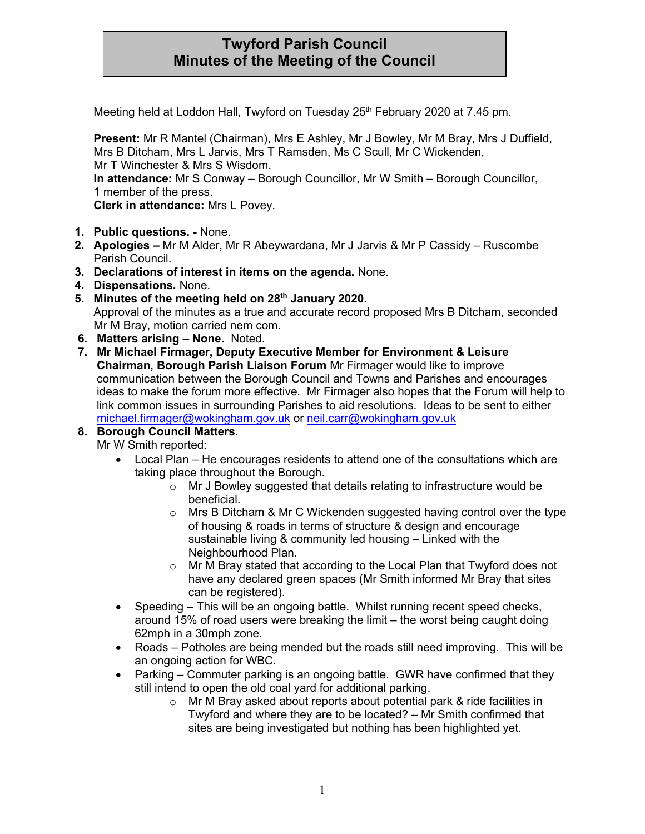# **Twyford Parish Council Minutes of the Meeting of the Council**

Meeting held at Loddon Hall, Twyford on Tuesday 25<sup>th</sup> February 2020 at 7.45 pm.

**Present:** Mr R Mantel (Chairman), Mrs E Ashley, Mr J Bowley, Mr M Bray, Mrs J Duffield, Mrs B Ditcham, Mrs L Jarvis, Mrs T Ramsden, Ms C Scull, Mr C Wickenden, Mr T Winchester & Mrs S Wisdom. **In attendance:** Mr S Conway – Borough Councillor, Mr W Smith – Borough Councillor, 1 member of the press. **Clerk in attendance:** Mrs L Povey.

- **1. Public questions. -** None.
- **2. Apologies –** Mr M Alder, Mr R Abeywardana, Mr J Jarvis & Mr P Cassidy Ruscombe Parish Council.
- **3. Declarations of interest in items on the agenda.** None.
- **4. Dispensations.** None.
- **5. Minutes of the meeting held on 28th January 2020.** Approval of the minutes as a true and accurate record proposed Mrs B Ditcham, seconded Mr M Bray, motion carried nem com.
- **6. Matters arising – None.** Noted.
- **7. Mr Michael Firmager, Deputy Executive Member for Environment & Leisure Chairman, Borough Parish Liaison Forum** Mr Firmager would like to improve communication between the Borough Council and Towns and Parishes and encourages ideas to make the forum more effective. Mr Firmager also hopes that the Forum will help to link common issues in surrounding Parishes to aid resolutions. Ideas to be sent to either [michael.firmager@wokingham.gov.uk](mailto:michael.firmager@wokingham.gov.uk) or [neil.carr@wokingham.gov.uk](mailto:neil.carr@wokingham.gov.uk)

## **8. Borough Council Matters.**

Mr W Smith reported:

- Local Plan He encourages residents to attend one of the consultations which are taking place throughout the Borough.
	- o Mr J Bowley suggested that details relating to infrastructure would be beneficial.
	- $\circ$  Mrs B Ditcham & Mr C Wickenden suggested having control over the type of housing & roads in terms of structure & design and encourage sustainable living & community led housing – Linked with the Neighbourhood Plan.
	- o Mr M Bray stated that according to the Local Plan that Twyford does not have any declared green spaces (Mr Smith informed Mr Bray that sites can be registered).
- Speeding This will be an ongoing battle. Whilst running recent speed checks, around 15% of road users were breaking the limit – the worst being caught doing 62mph in a 30mph zone.
- Roads Potholes are being mended but the roads still need improving. This will be an ongoing action for WBC.
- Parking Commuter parking is an ongoing battle. GWR have confirmed that they still intend to open the old coal yard for additional parking.
	- o Mr M Bray asked about reports about potential park & ride facilities in Twyford and where they are to be located? – Mr Smith confirmed that sites are being investigated but nothing has been highlighted yet.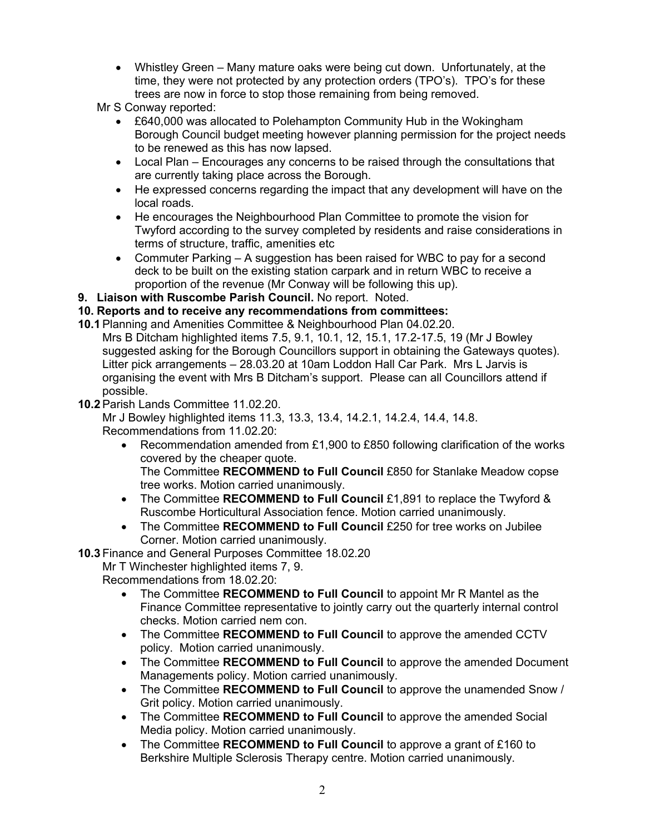• Whistley Green – Many mature oaks were being cut down. Unfortunately, at the time, they were not protected by any protection orders (TPO's). TPO's for these trees are now in force to stop those remaining from being removed.

Mr S Conway reported:

- £640,000 was allocated to Polehampton Community Hub in the Wokingham Borough Council budget meeting however planning permission for the project needs to be renewed as this has now lapsed.
- Local Plan Encourages any concerns to be raised through the consultations that are currently taking place across the Borough.
- He expressed concerns regarding the impact that any development will have on the local roads.
- He encourages the Neighbourhood Plan Committee to promote the vision for Twyford according to the survey completed by residents and raise considerations in terms of structure, traffic, amenities etc
- Commuter Parking A suggestion has been raised for WBC to pay for a second deck to be built on the existing station carpark and in return WBC to receive a proportion of the revenue (Mr Conway will be following this up).
- **9. Liaison with Ruscombe Parish Council.** No report. Noted.

### **10. Reports and to receive any recommendations from committees:**

- **10.1**Planning and Amenities Committee & Neighbourhood Plan 04.02.20. Mrs B Ditcham highlighted items 7.5, 9.1, 10.1, 12, 15.1, 17.2-17.5, 19 (Mr J Bowley suggested asking for the Borough Councillors support in obtaining the Gateways quotes). Litter pick arrangements – 28.03.20 at 10am Loddon Hall Car Park. Mrs L Jarvis is organising the event with Mrs B Ditcham's support. Please can all Councillors attend if possible.
- **10.2**Parish Lands Committee 11.02.20.

Mr J Bowley highlighted items 11.3, 13.3, 13.4, 14.2.1, 14.2.4, 14.4, 14.8. Recommendations from 11.02.20:

• Recommendation amended from £1,900 to £850 following clarification of the works covered by the cheaper quote. The Committee **RECOMMEND to Full Council** £850 for Stanlake Meadow copse

tree works. Motion carried unanimously.

- The Committee **RECOMMEND to Full Council** £1,891 to replace the Twyford & Ruscombe Horticultural Association fence. Motion carried unanimously.
- The Committee **RECOMMEND to Full Council** £250 for tree works on Jubilee Corner. Motion carried unanimously.

**10.3** Finance and General Purposes Committee 18.02.20

Mr T Winchester highlighted items 7, 9.

Recommendations from 18.02.20:

- The Committee **RECOMMEND to Full Council** to appoint Mr R Mantel as the Finance Committee representative to jointly carry out the quarterly internal control checks. Motion carried nem con.
- The Committee **RECOMMEND to Full Council** to approve the amended CCTV policy. Motion carried unanimously.
- The Committee **RECOMMEND to Full Council** to approve the amended Document Managements policy. Motion carried unanimously.
- The Committee **RECOMMEND to Full Council** to approve the unamended Snow / Grit policy. Motion carried unanimously.
- The Committee **RECOMMEND to Full Council** to approve the amended Social Media policy. Motion carried unanimously.
- The Committee **RECOMMEND to Full Council** to approve a grant of £160 to Berkshire Multiple Sclerosis Therapy centre. Motion carried unanimously.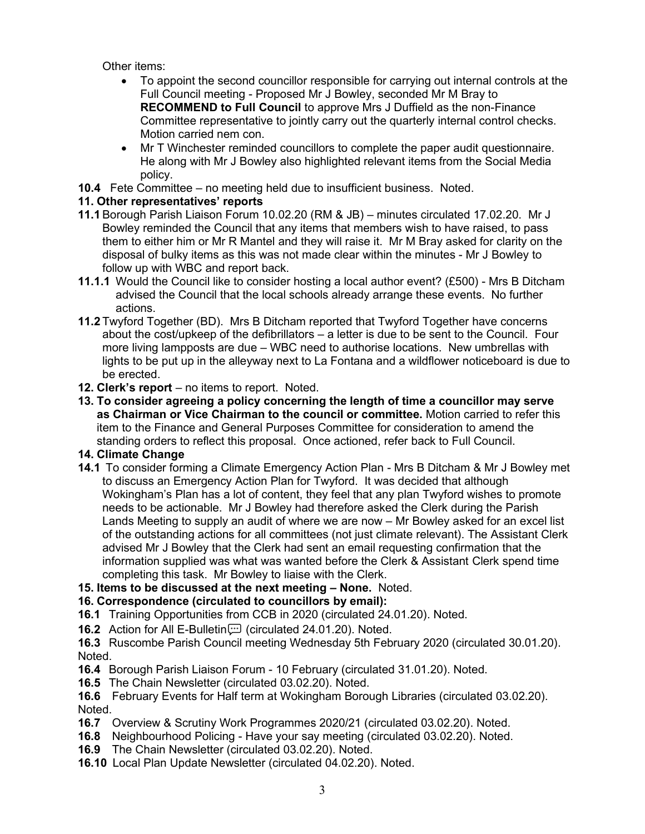Other items:

- To appoint the second councillor responsible for carrying out internal controls at the Full Council meeting - Proposed Mr J Bowley, seconded Mr M Bray to **RECOMMEND to Full Council** to approve Mrs J Duffield as the non-Finance Committee representative to jointly carry out the quarterly internal control checks. Motion carried nem con.
- Mr T Winchester reminded councillors to complete the paper audit questionnaire. He along with Mr J Bowley also highlighted relevant items from the Social Media policy.
- **10.4** Fete Committee no meeting held due to insufficient business. Noted.

## **11. Other representatives' reports**

- **11.1**Borough Parish Liaison Forum 10.02.20 (RM & JB) minutes circulated 17.02.20. Mr J Bowley reminded the Council that any items that members wish to have raised, to pass them to either him or Mr R Mantel and they will raise it. Mr M Bray asked for clarity on the disposal of bulky items as this was not made clear within the minutes - Mr J Bowley to follow up with WBC and report back.
- **11.1.1** Would the Council like to consider hosting a local author event? (£500) Mrs B Ditcham advised the Council that the local schools already arrange these events. No further actions.
- **11.2** Twyford Together (BD). Mrs B Ditcham reported that Twyford Together have concerns about the cost/upkeep of the defibrillators – a letter is due to be sent to the Council. Four more living lampposts are due – WBC need to authorise locations. New umbrellas with lights to be put up in the alleyway next to La Fontana and a wildflower noticeboard is due to be erected.
- **12. Clerk's report** no items to report. Noted.
- **13. To consider agreeing a policy concerning the length of time a councillor may serve as Chairman or Vice Chairman to the council or committee.** Motion carried to refer this item to the Finance and General Purposes Committee for consideration to amend the standing orders to reflect this proposal. Once actioned, refer back to Full Council.

#### **14. Climate Change**

- **14.1** To consider forming a Climate Emergency Action Plan Mrs B Ditcham & Mr J Bowley met to discuss an Emergency Action Plan for Twyford. It was decided that although Wokingham's Plan has a lot of content, they feel that any plan Twyford wishes to promote needs to be actionable. Mr J Bowley had therefore asked the Clerk during the Parish Lands Meeting to supply an audit of where we are now – Mr Bowley asked for an excel list of the outstanding actions for all committees (not just climate relevant). The Assistant Clerk advised Mr J Bowley that the Clerk had sent an email requesting confirmation that the information supplied was what was wanted before the Clerk & Assistant Clerk spend time completing this task. Mr Bowley to liaise with the Clerk.
- **15. Items to be discussed at the next meeting – None.** Noted.
- **16. Correspondence (circulated to councillors by email):**
- **16.1** Training Opportunities from CCB in 2020 (circulated 24.01.20). Noted.
- **16.2** Action for All E-Bulletin [*colie circulated 24.01.20*). Noted.
- **16.3** Ruscombe Parish Council meeting Wednesday 5th February 2020 (circulated 30.01.20). Noted.
- **16.4** Borough Parish Liaison Forum 10 February (circulated 31.01.20). Noted.
- **16.5** The Chain Newsletter (circulated 03.02.20). Noted.

**16.6** February Events for Half term at Wokingham Borough Libraries (circulated 03.02.20). Noted.

- **16.7** Overview & Scrutiny Work Programmes 2020/21 (circulated 03.02.20). Noted.
- **16.8** Neighbourhood Policing Have your say meeting (circulated 03.02.20). Noted.
- **16.9** The Chain Newsletter (circulated 03.02.20). Noted.
- **16.10** Local Plan Update Newsletter (circulated 04.02.20). Noted.